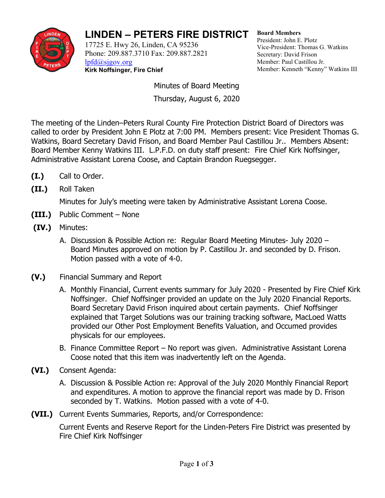

## **LINDEN – PETERS FIRE DISTRICT**

17725 E. Hwy 26, Linden, CA 95236 Phone: 209.887.3710 Fax: 209.887.2821 [lpfd@sjgov.org](mailto:lpfd@sjgov.org) **Kirk Noffsinger, Fire Chief**

**Board Members** President: John E. Plotz Vice-President: Thomas G. Watkins Secretary: David Frison Member: Paul Castillou Jr. Member: Kenneth "Kenny" Watkins III

Minutes of Board Meeting Thursday, August 6, 2020

The meeting of the Linden–Peters Rural County Fire Protection District Board of Directors was called to order by President John E Plotz at 7:00 PM. Members present: Vice President Thomas G. Watkins, Board Secretary David Frison, and Board Member Paul Castillou Jr.. Members Absent: Board Member Kenny Watkins III. L.P.F.D. on duty staff present: Fire Chief Kirk Noffsinger, Administrative Assistant Lorena Coose, and Captain Brandon Ruegsegger.

- **(I.)** Call to Order.
- **(II.)** Roll Taken

Minutes for July's meeting were taken by Administrative Assistant Lorena Coose.

- **(III.)** Public Comment None
- **(IV.)** Minutes:
	- A. Discussion & Possible Action re: Regular Board Meeting Minutes- July 2020 Board Minutes approved on motion by P. Castillou Jr. and seconded by D. Frison. Motion passed with a vote of 4-0.
- **(V.)** Financial Summary and Report
	- A. Monthly Financial, Current events summary for July 2020 Presented by Fire Chief Kirk Noffsinger. Chief Noffsinger provided an update on the July 2020 Financial Reports. Board Secretary David Frison inquired about certain payments. Chief Noffsinger explained that Target Solutions was our training tracking software, MacLoed Watts provided our Other Post Employment Benefits Valuation, and Occumed provides physicals for our employees.
	- B. Finance Committee Report No report was given. Administrative Assistant Lorena Coose noted that this item was inadvertently left on the Agenda.
- **(VI.)** Consent Agenda:
	- A. Discussion & Possible Action re: Approval of the July 2020 Monthly Financial Report and expenditures. A motion to approve the financial report was made by D. Frison seconded by T. Watkins. Motion passed with a vote of 4-0.
- **(VII.)** Current Events Summaries, Reports, and/or Correspondence:

Current Events and Reserve Report for the Linden-Peters Fire District was presented by Fire Chief Kirk Noffsinger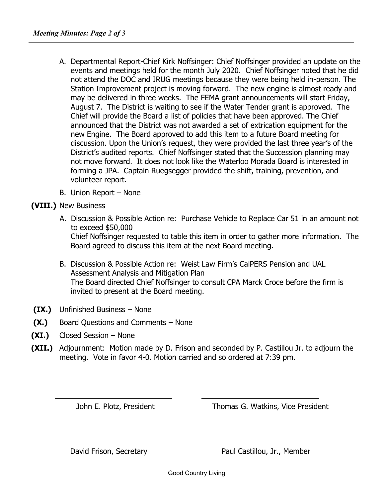- A. Departmental Report-Chief Kirk Noffsinger: Chief Noffsinger provided an update on the events and meetings held for the month July 2020. Chief Noffsinger noted that he did not attend the DOC and JRUG meetings because they were being held in-person. The Station Improvement project is moving forward. The new engine is almost ready and may be delivered in three weeks. The FEMA grant announcements will start Friday, August 7. The District is waiting to see if the Water Tender grant is approved. The Chief will provide the Board a list of policies that have been approved. The Chief announced that the District was not awarded a set of extrication equipment for the new Engine. The Board approved to add this item to a future Board meeting for discussion. Upon the Union's request, they were provided the last three year's of the District's audited reports. Chief Noffsinger stated that the Succession planning may not move forward. It does not look like the Waterloo Morada Board is interested in forming a JPA. Captain Ruegsegger provided the shift, training, prevention, and volunteer report.
- B. Union Report None

## **(VIII.)** New Business

- A. Discussion & Possible Action re: Purchase Vehicle to Replace Car 51 in an amount not to exceed \$50,000 Chief Noffsinger requested to table this item in order to gather more information. The Board agreed to discuss this item at the next Board meeting.
- B. Discussion & Possible Action re: Weist Law Firm's CalPERS Pension and UAL Assessment Analysis and Mitigation Plan The Board directed Chief Noffsinger to consult CPA Marck Croce before the firm is invited to present at the Board meeting.
- **(IX.)** Unfinished Business None
- **(X.)** Board Questions and Comments None
- **(XI.)** Closed Session None
- **(XII.)** Adjournment:Motion made by D. Frison and seconded by P. Castillou Jr. to adjourn the meeting. Vote in favor 4-0. Motion carried and so ordered at 7:39 pm.

John E. Plotz, President Thomas G. Watkins, Vice President

David Frison, Secretary **Paul Castillou, Jr., Member**